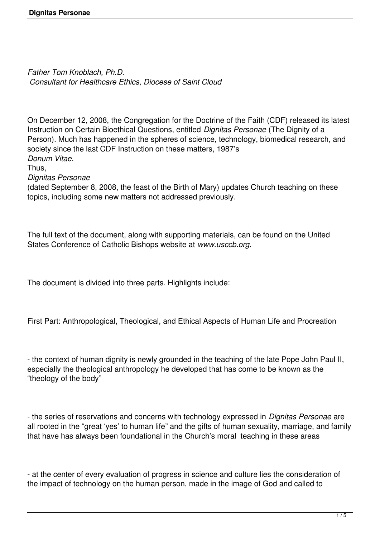*Father Tom Knoblach, Ph.D. Consultant for Healthcare Ethics, Diocese of Saint Cloud*

On December 12, 2008, the Congregation for the Doctrine of the Faith (CDF) released its latest Instruction on Certain Bioethical Questions, entitled *Dignitas Personae* (The Dignity of a Person). Much has happened in the spheres of science, technology, biomedical research, and society since the last CDF Instruction on these matters, 1987's *Donum Vitae.*

Thus,

*Dignitas Personae*

(dated September 8, 2008, the feast of the Birth of Mary) updates Church teaching on these topics, including some new matters not addressed previously.

The full text of the document, along with supporting materials, can be found on the United States Conference of Catholic Bishops website at *www.usccb.org.*

The document is divided into three parts. Highlights include:

First Part: Anthropological, Theological, and Ethical Aspects of Human Life and Procreation

- the context of human dignity is newly grounded in the teaching of the late Pope John Paul II, especially the theological anthropology he developed that has come to be known as the "theology of the body"

- the series of reservations and concerns with technology expressed in *Dignitas Personae* are all rooted in the "great 'yes' to human life" and the gifts of human sexuality, marriage, and family that have has always been foundational in the Church's moral teaching in these areas

- at the center of every evaluation of progress in science and culture lies the consideration of the impact of technology on the human person, made in the image of God and called to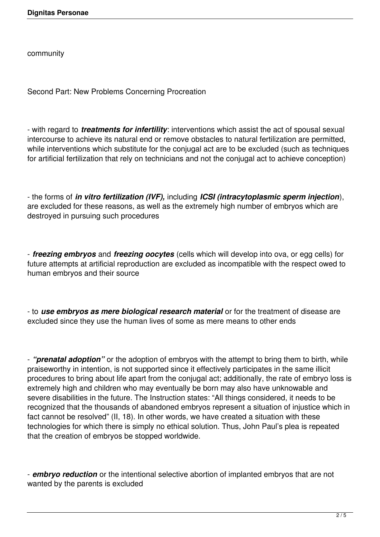community

Second Part: New Problems Concerning Procreation

- with regard to *treatments for infertility*: interventions which assist the act of spousal sexual intercourse to achieve its natural end or remove obstacles to natural fertilization are permitted, while interventions which substitute for the conjugal act are to be excluded (such as techniques for artificial fertilization that rely on technicians and not the conjugal act to achieve conception)

- the forms of *in vitro fertilization (IVF),* including *ICSI (intracytoplasmic sperm injection*), are excluded for these reasons, as well as the extremely high number of embryos which are destroyed in pursuing such procedures

- *freezing embryos* and *freezing oocytes* (cells which will develop into ova, or egg cells) for future attempts at artificial reproduction are excluded as incompatible with the respect owed to human embryos and their source

- to *use embryos as mere biological research material* or for the treatment of disease are excluded since they use the human lives of some as mere means to other ends

- *"prenatal adoption"* or the adoption of embryos with the attempt to bring them to birth, while praiseworthy in intention, is not supported since it effectively participates in the same illicit procedures to bring about life apart from the conjugal act; additionally, the rate of embryo loss is extremely high and children who may eventually be born may also have unknowable and severe disabilities in the future. The Instruction states: "All things considered, it needs to be recognized that the thousands of abandoned embryos represent a situation of injustice which in fact cannot be resolved" (II, 18). In other words, we have created a situation with these technologies for which there is simply no ethical solution. Thus, John Paul's plea is repeated that the creation of embryos be stopped worldwide.

- *embryo reduction* or the intentional selective abortion of implanted embryos that are not wanted by the parents is excluded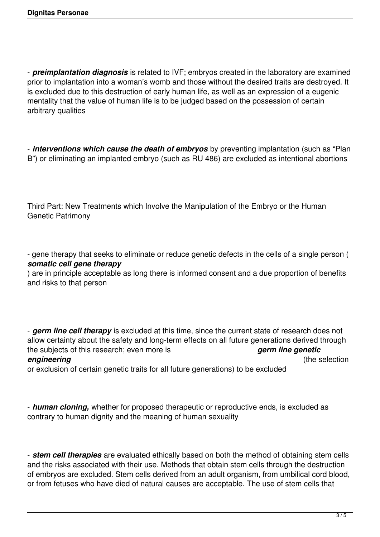- *preimplantation diagnosis* is related to IVF; embryos created in the laboratory are examined prior to implantation into a woman's womb and those without the desired traits are destroyed. It is excluded due to this destruction of early human life, as well as an expression of a eugenic mentality that the value of human life is to be judged based on the possession of certain arbitrary qualities

- *interventions which cause the death of embryos* by preventing implantation (such as "Plan B") or eliminating an implanted embryo (such as RU 486) are excluded as intentional abortions

Third Part: New Treatments which Involve the Manipulation of the Embryo or the Human Genetic Patrimony

- gene therapy that seeks to eliminate or reduce genetic defects in the cells of a single person ( *somatic cell gene therapy*

) are in principle acceptable as long there is informed consent and a due proportion of benefits and risks to that person

- *germ line cell therapy* is excluded at this time, since the current state of research does not allow certainty about the safety and long-term effects on all future generations derived through the subjects of this research; even more is *germ line genetic* **engineering** (the selection

or exclusion of certain genetic traits for all future generations) to be excluded

- *human cloning,* whether for proposed therapeutic or reproductive ends, is excluded as contrary to human dignity and the meaning of human sexuality

- *stem cell therapies* are evaluated ethically based on both the method of obtaining stem cells and the risks associated with their use. Methods that obtain stem cells through the destruction of embryos are excluded. Stem cells derived from an adult organism, from umbilical cord blood, or from fetuses who have died of natural causes are acceptable. The use of stem cells that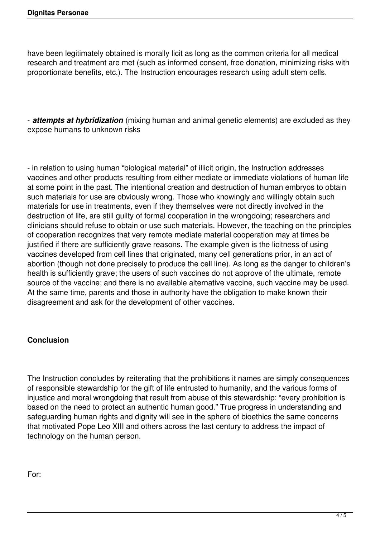have been legitimately obtained is morally licit as long as the common criteria for all medical research and treatment are met (such as informed consent, free donation, minimizing risks with proportionate benefits, etc.). The Instruction encourages research using adult stem cells.

- *attempts at hybridization* (mixing human and animal genetic elements) are excluded as they expose humans to unknown risks

- in relation to using human "biological material" of illicit origin, the Instruction addresses vaccines and other products resulting from either mediate or immediate violations of human life at some point in the past. The intentional creation and destruction of human embryos to obtain such materials for use are obviously wrong. Those who knowingly and willingly obtain such materials for use in treatments, even if they themselves were not directly involved in the destruction of life, are still guilty of formal cooperation in the wrongdoing; researchers and clinicians should refuse to obtain or use such materials. However, the teaching on the principles of cooperation recognizes that very remote mediate material cooperation may at times be justified if there are sufficiently grave reasons. The example given is the licitness of using vaccines developed from cell lines that originated, many cell generations prior, in an act of abortion (though not done precisely to produce the cell line). As long as the danger to children's health is sufficiently grave; the users of such vaccines do not approve of the ultimate, remote source of the vaccine; and there is no available alternative vaccine, such vaccine may be used. At the same time, parents and those in authority have the obligation to make known their disagreement and ask for the development of other vaccines.

## **Conclusion**

The Instruction concludes by reiterating that the prohibitions it names are simply consequences of responsible stewardship for the gift of life entrusted to humanity, and the various forms of injustice and moral wrongdoing that result from abuse of this stewardship: "every prohibition is based on the need to protect an authentic human good." True progress in understanding and safeguarding human rights and dignity will see in the sphere of bioethics the same concerns that motivated Pope Leo XIII and others across the last century to address the impact of technology on the human person.

For: